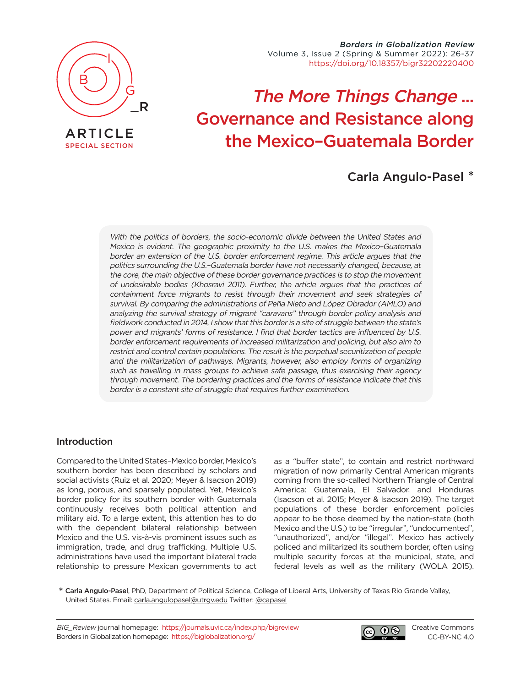

ARTICLE [SPECIAL SECTION](https://journals.uvic.ca/index.php/bigreview/issue/view/1554)

Borders in Globalization Review Volume 3, Issue 2 (Spring & Summer 2022): 26-37 [https://doi.org/10.18357/bigr32202220400](https://doi.org/10.18357/bigr32202220400 )

# The More Things Change ... Governance and Resistance along the Mexico–Guatemala Border

## Carla Angulo-Pasel \*

With the politics of borders, the socio-economic divide between the United States and Mexico is evident. The geographic proximity to the U.S. makes the Mexico–Guatemala border an extension of the U.S. border enforcement regime. This article argues that the politics surrounding the U.S.–Guatemala border have not necessarily changed, because, at the core, the main objective of these border governance practices is to stop the movement of undesirable bodies (Khosravi 2011). Further, the article argues that the practices of containment force migrants to resist through their movement and seek strategies of survival. By comparing the administrations of Peña Nieto and López Obrador (AMLO) and analyzing the survival strategy of migrant "caravans" through border policy analysis and fieldwork conducted in 2014, I show that this border is a site of struggle between the state's power and migrants' forms of resistance. I find that border tactics are influenced by U.S. border enforcement requirements of increased militarization and policing, but also aim to restrict and control certain populations. The result is the perpetual securitization of people and the militarization of pathways. Migrants, however, also employ forms of organizing such as travelling in mass groups to achieve safe passage, thus exercising their agency through movement. The bordering practices and the forms of resistance indicate that this border is a constant site of struggle that requires further examination.

## Introduction

Compared to the United States–Mexico border, Mexico's southern border has been described by scholars and social activists (Ruiz et al. 2020; Meyer & Isacson 2019) as long, porous, and sparsely populated. Yet, Mexico's border policy for its southern border with Guatemala continuously receives both political attention and military aid. To a large extent, this attention has to do with the dependent bilateral relationship between Mexico and the U.S. vis-à-vis prominent issues such as immigration, trade, and drug trafficking. Multiple U.S. administrations have used the important bilateral trade relationship to pressure Mexican governments to act as a "buffer state", to contain and restrict northward migration of now primarily Central American migrants coming from the so-called Northern Triangle of Central America: Guatemala, El Salvador, and Honduras (Isacson et al. 2015; Meyer & Isacson 2019). The target populations of these border enforcement policies appear to be those deemed by the nation-state (both Mexico and the U.S.) to be "irregular", "undocumented", "unauthorized", and/or "illegal". Mexico has actively policed and militarized its southern border, often using multiple security forces at the municipal, state, and federal levels as well as the military (WOLA 2015).

\* Carla Angulo-Pasel, PhD, Department of Political Science, College of Liberal Arts, University of Texas Rio Grande Valley, United States. Email: [carla.angulopasel@utrgv.edu](mailto:carla.angulopasel%40utrgv.edu?subject=) Twitter: [@capasel](https://twitter.com/capasel)

BIG\_Review journal homepage: <https://journals.uvic.ca/index.php/bigreview> Borders in Globalization homepage: <https://biglobalization.org/>



[Creative Commons](https://creativecommons.org/licenses/by-nc/4.0/) [CC-BY-NC 4.0](https://creativecommons.org/licenses/by-nc/4.0/)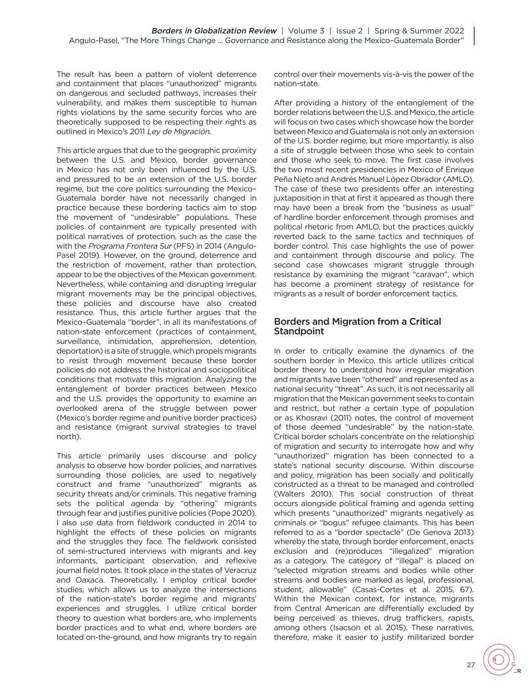The result has been a pattern of violent deterrence and containment that places "unauthorized" migrants on dangerous and secluded pathways, increases their vulnerability, and makes them susceptible to human rights violations by the same security forces who are theoretically supposed to be respecting their rights as outlined in Mexico's 2011 Ley de Migración.

This article argues that due to the geographic proximity between the U.S. and Mexico, border governance in Mexico has not only been influenced by the U.S. and pressured to be an extension of the U.S. border regime, but the core politics surrounding the Mexico– Guatemala border have not necessarily changed in practice because these bordering tactics aim to stop the movement of "undesirable" populations. These policies of containment are typically presented with political narratives of protection, such as the case the with the Programa Frontera Sur (PFS) in 2014 (Angulo-Pasel 2019). However, on the ground, deterrence and the restriction of movement, rather than protection, appear to be the objectives of the Mexican government. Nevertheless, while containing and disrupting irregular migrant movements may be the principal objectives, these policies and discourse have also created resistance. Thus, this article further argues that the Mexico–Guatemala "border", in all its manifestations of nation-state enforcement (practices of containment, surveillance, intimidation, apprehension, detention, deportation) is a site of struggle, which propels migrants to resist through movement because these border policies do not address the historical and sociopolitical conditions that motivate this migration. Analyzing the entanglement of border practices between Mexico and the U.S. provides the opportunity to examine an overlooked arena of the struggle between power (Mexico's border regime and punitive border practices) and resistance (migrant survival strategies to travel north).

This article primarily uses discourse and policy analysis to observe how border policies, and narratives surrounding those policies, are used to negatively construct and frame "unauthorized" migrants as security threats and/or criminals. This negative framing sets the political agenda by "othering" migrants through fear and justifies punitive policies (Pope 2020). I also use data from fieldwork conducted in 2014 to highlight the effects of these policies on migrants and the struggles they face. The fieldwork consisted of semi-structured interviews with migrants and key informants, participant observation, and reflexive journal field notes. It took place in the states of Veracruz and Oaxaca. Theoretically, I employ critical border studies, which allows us to analyze the intersections of the nation-state's border regime and migrants' experiences and struggles. I utilize critical border theory to question what borders are, who implements border practices and to what end, where borders are located on-the-ground, and how migrants try to regain control over their movements vis-à-vis the power of the nation-state.

After providing a history of the entanglement of the border relations between the U.S. and Mexico, the article will focus on two cases which showcase how the border between Mexico and Guatemala is not only an extension of the U.S. border regime, but more importantly, is also a site of struggle between those who seek to contain and those who seek to move. The first case involves the two most recent presidencies in Mexico of Enrique Peña Nieto and Andrés Manuel López Obrador (AMLO). The case of these two presidents offer an interesting juxtaposition in that at first it appeared as though there may have been a break from the "business as usual" of hardline border enforcement through promises and political rhetoric from AMLO, but the practices quickly reverted back to the same tactics and techniques of border control. This case highlights the use of power and containment through discourse and policy. The second case showcases migrant struggle through resistance by examining the migrant "caravan", which has become a prominent strategy of resistance for migrants as a result of border enforcement tactics.

## Borders and Migration from a Critical **Standpoint**

In order to critically examine the dynamics of the southern border in Mexico, this article utilizes critical border theory to understand how irregular migration and migrants have been "othered" and represented as a national security "threat". As such, it is not necessarily all migration that the Mexican government seeks to contain and restrict, but rather a certain type of population or as Khosravi (2011) notes, the control of movement of those deemed "undesirable" by the nation-state. Critical border scholars concentrate on the relationship of migration and security to interrogate how and why "unauthorized" migration has been connected to a state's national security discourse. Within discourse and policy, migration has been socially and politically constructed as a threat to be managed and controlled (Walters 2010). This social construction of threat occurs alongside political framing and agenda setting which presents "unauthorized" migrants negatively as criminals or "bogus" refugee claimants. This has been referred to as a "border spectacle" (De Genova 2013) whereby the state, through border enforcement, enacts exclusion and (re)produces "illegalized" migration as a category. The category of "illegal" is placed on "selected migration streams and bodies while other streams and bodies are marked as legal, professional, student, allowable" (Casas-Cortes et al. 2015, 67). Within the Mexican context, for instance, migrants from Central American are differentially excluded by being perceived as thieves, drug traffickers, rapists, among others (Isacson et al. 2015). These narratives, therefore, make it easier to justify militarized border

\_R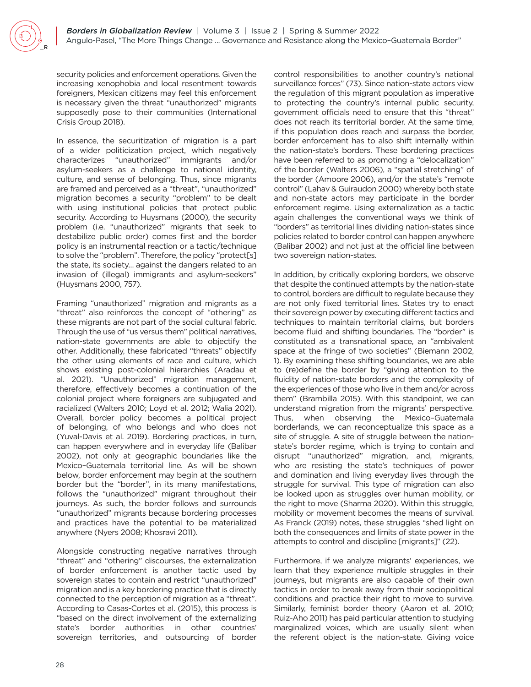security policies and enforcement operations. Given the increasing xenophobia and local resentment towards foreigners, Mexican citizens may feel this enforcement is necessary given the threat "unauthorized" migrants supposedly pose to their communities (International Crisis Group 2018).

In essence, the securitization of migration is a part of a wider politicization project, which negatively characterizes "unauthorized" immigrants and/or asylum-seekers as a challenge to national identity, culture, and sense of belonging. Thus, since migrants are framed and perceived as a "threat", "unauthorized" migration becomes a security "problem" to be dealt with using institutional policies that protect public security. According to Huysmans (2000), the security problem (i.e. "unauthorized" migrants that seek to destabilize public order) comes first and the border policy is an instrumental reaction or a tactic/technique to solve the "problem". Therefore, the policy "protect[s] the state, its society… against the dangers related to an invasion of (illegal) immigrants and asylum-seekers" (Huysmans 2000, 757).

Framing "unauthorized" migration and migrants as a "threat" also reinforces the concept of "othering" as these migrants are not part of the social cultural fabric. Through the use of "us versus them" political narratives, nation-state governments are able to objectify the other. Additionally, these fabricated "threats" objectify the other using elements of race and culture, which shows existing post-colonial hierarchies (Aradau et al. 2021). "Unauthorized" migration management, therefore, effectively becomes a continuation of the colonial project where foreigners are subjugated and racialized (Walters 2010; Loyd et al. 2012; Walia 2021). Overall, border policy becomes a political project of belonging, of who belongs and who does not (Yuval-Davis et al. 2019). Bordering practices, in turn, can happen everywhere and in everyday life (Balibar 2002), not only at geographic boundaries like the Mexico–Guatemala territorial line. As will be shown below, border enforcement may begin at the southern border but the "border", in its many manifestations, follows the "unauthorized" migrant throughout their journeys. As such, the border follows and surrounds "unauthorized" migrants because bordering processes and practices have the potential to be materialized anywhere (Nyers 2008; Khosravi 2011).

Alongside constructing negative narratives through "threat" and "othering" discourses, the externalization of border enforcement is another tactic used by sovereign states to contain and restrict "unauthorized" migration and is a key bordering practice that is directly connected to the perception of migration as a "threat". According to Casas-Cortes et al. (2015), this process is "based on the direct involvement of the externalizing state's border authorities in other countries' sovereign territories, and outsourcing of border

control responsibilities to another country's national surveillance forces" (73). Since nation-state actors view the regulation of this migrant population as imperative to protecting the country's internal public security, government officials need to ensure that this "threat" does not reach its territorial border. At the same time, if this population does reach and surpass the border, border enforcement has to also shift internally within the nation-state's borders. These bordering practices have been referred to as promoting a "delocalization" of the border (Walters 2006), a "spatial stretching" of the border (Amoore 2006), and/or the state's "remote control" (Lahav & Guiraudon 2000) whereby both state and non-state actors may participate in the border enforcement regime. Using externalization as a tactic again challenges the conventional ways we think of "borders" as territorial lines dividing nation-states since policies related to border control can happen anywhere (Balibar 2002) and not just at the official line between two sovereign nation-states.

In addition, by critically exploring borders, we observe that despite the continued attempts by the nation-state to control, borders are difficult to regulate because they are not only fixed territorial lines. States try to enact their sovereign power by executing different tactics and techniques to maintain territorial claims, but borders become fluid and shifting boundaries. The "border" is constituted as a transnational space, an "ambivalent space at the fringe of two societies" (Biemann 2002, 1). By examining these shifting boundaries, we are able to (re)define the border by "giving attention to the fluidity of nation-state borders and the complexity of the experiences of those who live in them and/or across them" (Brambilla 2015). With this standpoint, we can understand migration from the migrants' perspective. Thus, when observing the Mexico–Guatemala borderlands, we can reconceptualize this space as a site of struggle. A site of struggle between the nationstate's border regime, which is trying to contain and disrupt "unauthorized" migration, and, migrants, who are resisting the state's techniques of power and domination and living everyday lives through the struggle for survival. This type of migration can also be looked upon as struggles over human mobility, or the right to move (Sharma 2020). Within this struggle, mobility or movement becomes the means of survival. As Franck (2019) notes, these struggles "shed light on both the consequences and limits of state power in the attempts to control and discipline [migrants]" (22).

Furthermore, if we analyze migrants' experiences, we learn that they experience multiple struggles in their journeys, but migrants are also capable of their own tactics in order to break away from their sociopolitical conditions and practice their right to move to survive. Similarly, feminist border theory (Aaron et al. 2010; Ruiz-Aho 2011) has paid particular attention to studying marginalized voices, which are usually silent when the referent object is the nation-state. Giving voice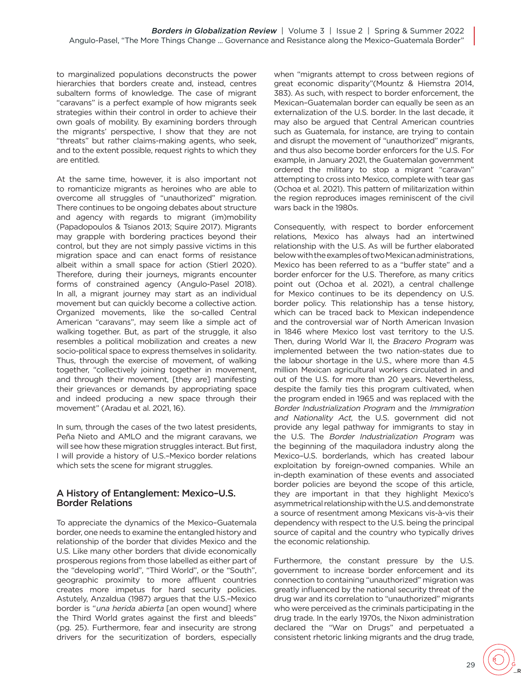to marginalized populations deconstructs the power hierarchies that borders create and, instead, centres subaltern forms of knowledge. The case of migrant "caravans" is a perfect example of how migrants seek strategies within their control in order to achieve their own goals of mobility. By examining borders through the migrants' perspective, I show that they are not "threats" but rather claims-making agents, who seek, and to the extent possible, request rights to which they are entitled.

At the same time, however, it is also important not to romanticize migrants as heroines who are able to overcome all struggles of "unauthorized" migration. There continues to be ongoing debates about structure and agency with regards to migrant (im)mobility (Papadopoulos & Tsianos 2013; Squire 2017). Migrants may grapple with bordering practices beyond their control, but they are not simply passive victims in this migration space and can enact forms of resistance albeit within a small space for action (Stierl 2020). Therefore, during their journeys, migrants encounter forms of constrained agency (Angulo-Pasel 2018). In all, a migrant journey may start as an individual movement but can quickly become a collective action. Organized movements, like the so-called Central American "caravans", may seem like a simple act of walking together. But, as part of the struggle, it also resembles a political mobilization and creates a new socio-political space to express themselves in solidarity. Thus, through the exercise of movement, of walking together, "collectively joining together in movement, and through their movement, [they are] manifesting their grievances or demands by appropriating space and indeed producing a new space through their movement" (Aradau et al. 2021, 16).

In sum, through the cases of the two latest presidents, Peña Nieto and AMLO and the migrant caravans, we will see how these migration struggles interact. But first, I will provide a history of U.S.–Mexico border relations which sets the scene for migrant struggles.

## A History of Entanglement: Mexico–U.S. Border Relations

To appreciate the dynamics of the Mexico–Guatemala border, one needs to examine the entangled history and relationship of the border that divides Mexico and the U.S. Like many other borders that divide economically prosperous regions from those labelled as either part of the "developing world", "Third World", or the "South", geographic proximity to more affluent countries creates more impetus for hard security policies. Astutely, Anzaldua (1987) argues that the U.S.–Mexico border is "una herida abierta [an open wound] where the Third World grates against the first and bleeds" (pg. 25). Furthermore, fear and insecurity are strong drivers for the securitization of borders, especially

when "migrants attempt to cross between regions of great economic disparity"(Mountz & Hiemstra 2014, 383). As such, with respect to border enforcement, the Mexican–Guatemalan border can equally be seen as an externalization of the U.S. border. In the last decade, it may also be argued that Central American countries such as Guatemala, for instance, are trying to contain and disrupt the movement of "unauthorized" migrants, and thus also become border enforcers for the U.S. For example, in January 2021, the Guatemalan government ordered the military to stop a migrant "caravan" attempting to cross into Mexico, complete with tear gas (Ochoa et al. 2021). This pattern of militarization within the region reproduces images reminiscent of the civil wars back in the 1980s.

Consequently, with respect to border enforcement relations, Mexico has always had an intertwined relationship with the U.S. As will be further elaborated below with the examples of two Mexican administrations, Mexico has been referred to as a "buffer state" and a border enforcer for the U.S. Therefore, as many critics point out (Ochoa et al. 2021), a central challenge for Mexico continues to be its dependency on U.S. border policy. This relationship has a tense history, which can be traced back to Mexican independence and the controversial war of North American Invasion in 1846 where Mexico lost vast territory to the U.S. Then, during World War II, the Bracero Program was implemented between the two nation-states due to the labour shortage in the U.S., where more than 4.5 million Mexican agricultural workers circulated in and out of the U.S. for more than 20 years. Nevertheless, despite the family ties this program cultivated, when the program ended in 1965 and was replaced with the Border Industrialization Program and the Immigration and Nationality Act, the U.S. government did not provide any legal pathway for immigrants to stay in the U.S. The Border Industrialization Program was the beginning of the maquiladora industry along the Mexico–U.S. borderlands, which has created labour exploitation by foreign-owned companies. While an in-depth examination of these events and associated border policies are beyond the scope of this article, they are important in that they highlight Mexico's asymmetrical relationship with the U.S. and demonstrate a source of resentment among Mexicans vis-à-vis their dependency with respect to the U.S. being the principal source of capital and the country who typically drives the economic relationship.

Furthermore, the constant pressure by the U.S. government to increase border enforcement and its connection to containing "unauthorized" migration was greatly influenced by the national security threat of the drug war and its correlation to "unauthorized" migrants who were perceived as the criminals participating in the drug trade. In the early 1970s, the Nixon administration declared the "War on Drugs" and perpetuated a consistent rhetoric linking migrants and the drug trade,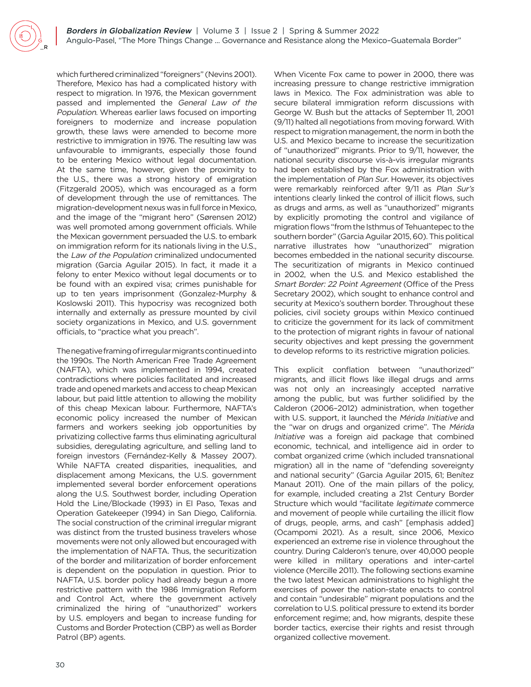which furthered criminalized "foreigners" (Nevins 2001). Therefore, Mexico has had a complicated history with respect to migration. In 1976, the Mexican government passed and implemented the General Law of the Population. Whereas earlier laws focused on importing foreigners to modernize and increase population growth, these laws were amended to become more restrictive to immigration in 1976. The resulting law was unfavourable to immigrants, especially those found to be entering Mexico without legal documentation. At the same time, however, given the proximity to the U.S., there was a strong history of emigration (Fitzgerald 2005), which was encouraged as a form of development through the use of remittances. The migration-development nexus was in full force in Mexico, and the image of the "migrant hero" (Sørensen 2012) was well promoted among government officials. While the Mexican government persuaded the U.S. to embark on immigration reform for its nationals living in the U.S., the Law of the Population criminalized undocumented migration (Garcia Aguilar 2015). In fact, it made it a felony to enter Mexico without legal documents or to be found with an expired visa; crimes punishable for up to ten years imprisonment (Gonzalez-Murphy & Koslowski 2011). This hypocrisy was recognized both internally and externally as pressure mounted by civil society organizations in Mexico, and U.S. government officials, to "practice what you preach".

The negative framing of irregular migrants continued into the 1990s. The North American Free Trade Agreement (NAFTA), which was implemented in 1994, created contradictions where policies facilitated and increased trade and opened markets and access to cheap Mexican labour, but paid little attention to allowing the mobility of this cheap Mexican labour. Furthermore, NAFTA's economic policy increased the number of Mexican farmers and workers seeking job opportunities by privatizing collective farms thus eliminating agricultural subsidies, deregulating agriculture, and selling land to foreign investors (Fernández-Kelly & Massey 2007). While NAFTA created disparities, inequalities, and displacement among Mexicans, the U.S. government implemented several border enforcement operations along the U.S. Southwest border, including Operation Hold the Line/Blockade (1993) in El Paso, Texas and Operation Gatekeeper (1994) in San Diego, California. The social construction of the criminal irregular migrant was distinct from the trusted business travelers whose movements were not only allowed but encouraged with the implementation of NAFTA. Thus, the securitization of the border and militarization of border enforcement is dependent on the population in question. Prior to NAFTA, U.S. border policy had already begun a more restrictive pattern with the 1986 Immigration Reform and Control Act, where the government actively criminalized the hiring of "unauthorized" workers by U.S. employers and began to increase funding for Customs and Border Protection (CBP) as well as Border Patrol (BP) agents.

When Vicente Fox came to power in 2000, there was increasing pressure to change restrictive immigration laws in Mexico. The Fox administration was able to secure bilateral immigration reform discussions with George W. Bush but the attacks of September 11, 2001 (9/11) halted all negotiations from moving forward. With respect to migration management, the norm in both the U.S. and Mexico became to increase the securitization of "unauthorized" migrants. Prior to 9/11, however, the national security discourse vis-à-vis irregular migrants had been established by the Fox administration with the implementation of Plan Sur. However, its objectives were remarkably reinforced after 9/11 as Plan Sur's intentions clearly linked the control of illicit flows, such as drugs and arms, as well as "unauthorized" migrants by explicitly promoting the control and vigilance of migration flows "from the Isthmus of Tehuantepec to the southern border" (Garcia Aguilar 2015, 60). This political narrative illustrates how "unauthorized" migration becomes embedded in the national security discourse. The securitization of migrants in Mexico continued in 2002, when the U.S. and Mexico established the Smart Border: 22 Point Agreement (Office of the Press Secretary 2002), which sought to enhance control and security at Mexico's southern border. Throughout these policies, civil society groups within Mexico continued to criticize the government for its lack of commitment to the protection of migrant rights in favour of national security objectives and kept pressing the government to develop reforms to its restrictive migration policies.

This explicit conflation between "unauthorized" migrants, and illicit flows like illegal drugs and arms was not only an increasingly accepted narrative among the public, but was further solidified by the Calderon (2006–2012) administration, when together with U.S. support, it launched the Mérida Initiative and the "war on drugs and organized crime". The Mérida Initiative was a foreign aid package that combined economic, technical, and intelligence aid in order to combat organized crime (which included transnational migration) all in the name of "defending sovereignty and national security" (Garcia Aguilar 2015, 61; Benítez Manaut 2011). One of the main pillars of the policy, for example, included creating a 21st Century Border Structure which would "facilitate legitimate commerce and movement of people while curtailing the illicit flow of drugs, people, arms, and cash" [emphasis added] (Ocampomi 2021). As a result, since 2006, Mexico experienced an extreme rise in violence throughout the country. During Calderon's tenure, over 40,000 people were killed in military operations and inter-cartel violence (Mercille 2011). The following sections examine the two latest Mexican administrations to highlight the exercises of power the nation-state enacts to control and contain "undesirable" migrant populations and the correlation to U.S. political pressure to extend its border enforcement regime; and, how migrants, despite these border tactics, exercise their rights and resist through organized collective movement.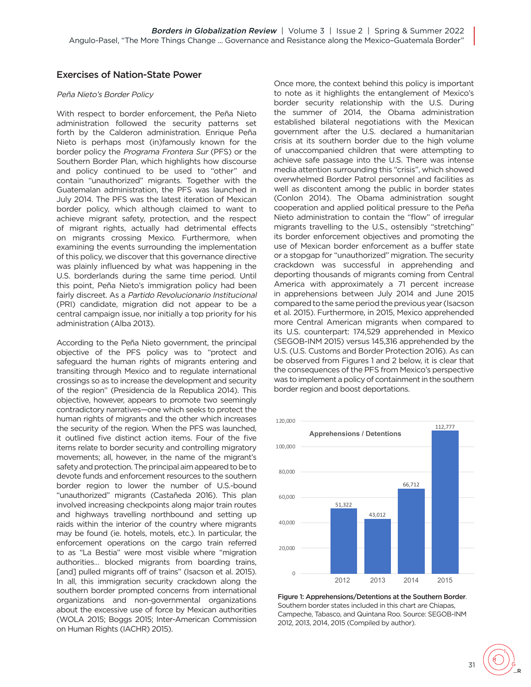## Exercises of Nation-State Power

#### Peña Nieto's Border Policy

With respect to border enforcement, the Peña Nieto administration followed the security patterns set forth by the Calderon administration. Enrique Peña Nieto is perhaps most (in)famously known for the border policy the Programa Frontera Sur (PFS) or the Southern Border Plan, which highlights how discourse and policy continued to be used to "other" and contain "unauthorized" migrants. Together with the Guatemalan administration, the PFS was launched in July 2014. The PFS was the latest iteration of Mexican border policy, which although claimed to want to achieve migrant safety, protection, and the respect of migrant rights, actually had detrimental effects on migrants crossing Mexico. Furthermore, when examining the events surrounding the implementation of this policy, we discover that this governance directive was plainly influenced by what was happening in the U.S. borderlands during the same time period. Until this point, Peña Nieto's immigration policy had been fairly discreet. As a Partido Revolucionario Institucional (PRI) candidate, migration did not appear to be a central campaign issue, nor initially a top priority for his administration (Alba 2013).

According to the Peña Nieto government, the principal objective of the PFS policy was to "protect and safeguard the human rights of migrants entering and transiting through Mexico and to regulate international crossings so as to increase the development and security of the region" (Presidencia de la Republica 2014). This objective, however, appears to promote two seemingly contradictory narratives—one which seeks to protect the human rights of migrants and the other which increases the security of the region. When the PFS was launched, it outlined five distinct action items. Four of the five items relate to border security and controlling migratory movements; all, however, in the name of the migrant's safety and protection. The principal aim appeared to be to devote funds and enforcement resources to the southern border region to lower the number of U.S.-bound "unauthorized" migrants (Castañeda 2016). This plan involved increasing checkpoints along major train routes and highways travelling northbound and setting up raids within the interior of the country where migrants may be found (ie. hotels, motels, etc.). In particular, the enforcement operations on the cargo train referred to as "La Bestia" were most visible where "migration authorities… blocked migrants from boarding trains, [and] pulled migrants off of trains" (Isacson et al. 2015). In all, this immigration security crackdown along the southern border prompted concerns from international organizations and non-governmental organizations about the excessive use of force by Mexican authorities (WOLA 2015; Boggs 2015; Inter-American Commission on Human Rights (IACHR) 2015).

Once more, the context behind this policy is important to note as it highlights the entanglement of Mexico's border security relationship with the U.S. During the summer of 2014, the Obama administration established bilateral negotiations with the Mexican government after the U.S. declared a humanitarian crisis at its southern border due to the high volume of unaccompanied children that were attempting to achieve safe passage into the U.S. There was intense media attention surrounding this "crisis", which showed overwhelmed Border Patrol personnel and facilities as well as discontent among the public in border states (Conlon 2014). The Obama administration sought cooperation and applied political pressure to the Peña Nieto administration to contain the "flow" of irregular migrants travelling to the U.S., ostensibly "stretching" its border enforcement objectives and promoting the use of Mexican border enforcement as a buffer state or a stopgap for "unauthorized" migration. The security crackdown was successful in apprehending and deporting thousands of migrants coming from Central America with approximately a 71 percent increase in apprehensions between July 2014 and June 2015 compared to the same period the previous year (Isacson et al. 2015). Furthermore, in 2015, Mexico apprehended more Central American migrants when compared to its U.S. counterpart: 174,529 apprehended in Mexico (SEGOB-INM 2015) versus 145,316 apprehended by the U.S. (U.S. Customs and Border Protection 2016). As can be observed from Figures 1 and 2 below, it is clear that the consequences of the PFS from Mexico's perspective was to implement a policy of containment in the southern border region and boost deportations.



Figure 1: Apprehensions/Detentions at the Southern Border. Southern border states included in this chart are Chiapas, Campeche, Tabasco, and Quintana Roo. Source: SEGOB-INM 2012, 2013, 2014, 2015 (Compiled by author).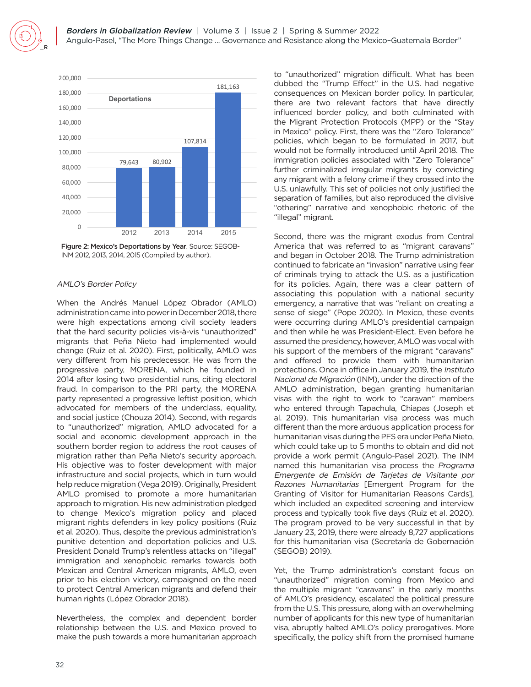

2012 2013 2014 2015 INM 2012, 2013, 2014, 2015 (Compiled by author). Figure 2: Mexico's Deportations by Year. Source: SEGOB-

#### AMLO's Border Policy

When the Andrés Manuel López Obrador (AMLO) administration came into power in December 2018, there were high expectations among civil society leaders that the hard security policies vis-à-vis "unauthorized" migrants that Peña Nieto had implemented would change (Ruiz et al. 2020). First, politically, AMLO was very different from his predecessor. He was from the progressive party, MORENA, which he founded in 2014 after losing two presidential runs, citing electoral fraud. In comparison to the PRI party, the MORENA party represented a progressive leftist position, which advocated for members of the underclass, equality, and social justice (Chouza 2014). Second, with regards to "unauthorized" migration, AMLO advocated for a social and economic development approach in the southern border region to address the root causes of migration rather than Peña Nieto's security approach. His objective was to foster development with major infrastructure and social projects, which in turn would help reduce migration (Vega 2019). Originally, President AMLO promised to promote a more humanitarian approach to migration. His new administration pledged to change Mexico's migration policy and placed migrant rights defenders in key policy positions (Ruiz et al. 2020). Thus, despite the previous administration's punitive detention and deportation policies and U.S. President Donald Trump's relentless attacks on "illegal" immigration and xenophobic remarks towards both Mexican and Central American migrants, AMLO, even prior to his election victory, campaigned on the need to protect Central American migrants and defend their human rights (López Obrador 2018).

Nevertheless, the complex and dependent border relationship between the U.S. and Mexico proved to make the push towards a more humanitarian approach to "unauthorized" migration difficult. What has been dubbed the "Trump Effect" in the U.S. had negative consequences on Mexican border policy. In particular, there are two relevant factors that have directly influenced border policy, and both culminated with the Migrant Protection Protocols (MPP) or the "Stay in Mexico" policy. First, there was the "Zero Tolerance" policies, which began to be formulated in 2017, but would not be formally introduced until April 2018. The immigration policies associated with "Zero Tolerance" further criminalized irregular migrants by convicting any migrant with a felony crime if they crossed into the U.S. unlawfully. This set of policies not only justified the separation of families, but also reproduced the divisive "othering" narrative and xenophobic rhetoric of the "illegal" migrant.

Second, there was the migrant exodus from Central America that was referred to as "migrant caravans" and began in October 2018. The Trump administration continued to fabricate an "invasion" narrative using fear of criminals trying to attack the U.S. as a justification for its policies. Again, there was a clear pattern of associating this population with a national security emergency, a narrative that was "reliant on creating a sense of siege" (Pope 2020). In Mexico, these events were occurring during AMLO's presidential campaign and then while he was President-Elect. Even before he assumed the presidency, however, AMLO was vocal with his support of the members of the migrant "caravans" and offered to provide them with humanitarian protections. Once in office in January 2019, the Instituto Nacional de Migración (INM), under the direction of the AMLO administration, began granting humanitarian visas with the right to work to "caravan" members who entered through Tapachula, Chiapas (Joseph et al. 2019). This humanitarian visa process was much different than the more arduous application process for humanitarian visas during the PFS era under Peña Nieto, which could take up to 5 months to obtain and did not provide a work permit (Angulo-Pasel 2021). The INM named this humanitarian visa process the Programa Emergente de Emisión de Tarjetas de Visitante por Razones Humanitarias [Emergent Program for the Granting of Visitor for Humanitarian Reasons Cards], which included an expedited screening and interview process and typically took five days (Ruiz et al. 2020). The program proved to be very successful in that by January 23, 2019, there were already 8,727 applications for this humanitarian visa (Secretaría de Gobernación (SEGOB) 2019).

Yet, the Trump administration's constant focus on "unauthorized" migration coming from Mexico and the multiple migrant "caravans" in the early months of AMLO's presidency, escalated the political pressure from the U.S. This pressure, along with an overwhelming number of applicants for this new type of humanitarian visa, abruptly halted AMLO's policy prerogatives. More specifically, the policy shift from the promised humane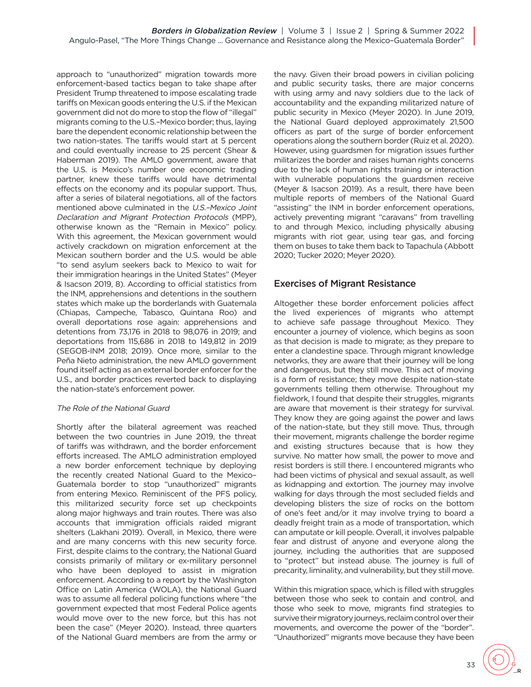approach to "unauthorized" migration towards more enforcement-based tactics began to take shape after President Trump threatened to impose escalating trade tariffs on Mexican goods entering the U.S. if the Mexican government did not do more to stop the flow of "illegal" migrants coming to the U.S.–Mexico border; thus, laying bare the dependent economic relationship between the two nation-states. The tariffs would start at 5 percent and could eventually increase to 25 percent (Shear & Haberman 2019). The AMLO government, aware that the U.S. is Mexico's number one economic trading partner, knew these tariffs would have detrimental effects on the economy and its popular support. Thus, after a series of bilateral negotiations, all of the factors mentioned above culminated in the U.S.–Mexico Joint Declaration and Migrant Protection Protocols (MPP), otherwise known as the "Remain in Mexico" policy. With this agreement, the Mexican government would actively crackdown on migration enforcement at the Mexican southern border and the U.S. would be able "to send asylum seekers back to Mexico to wait for their immigration hearings in the United States" (Meyer & Isacson 2019, 8). According to official statistics from the INM, apprehensions and detentions in the southern states which make up the borderlands with Guatemala (Chiapas, Campeche, Tabasco, Quintana Roo) and overall deportations rose again: apprehensions and detentions from 73,176 in 2018 to 98,076 in 2019; and deportations from 115,686 in 2018 to 149,812 in 2019 (SEGOB-INM 2018; 2019). Once more, similar to the Peña Nieto administration, the new AMLO government found itself acting as an external border enforcer for the U.S., and border practices reverted back to displaying the nation-state's enforcement power.

#### The Role of the National Guard

Shortly after the bilateral agreement was reached between the two countries in June 2019, the threat of tariffs was withdrawn, and the border enforcement efforts increased. The AMLO administration employed a new border enforcement technique by deploying the recently created National Guard to the Mexico– Guatemala border to stop "unauthorized" migrants from entering Mexico. Reminiscent of the PFS policy, this militarized security force set up checkpoints along major highways and train routes. There was also accounts that immigration officials raided migrant shelters (Lakhani 2019). Overall, in Mexico, there were and are many concerns with this new security force. First, despite claims to the contrary, the National Guard consists primarily of military or ex-military personnel who have been deployed to assist in migration enforcement. According to a report by the Washington Office on Latin America (WOLA), the National Guard was to assume all federal policing functions where "the government expected that most Federal Police agents would move over to the new force, but this has not been the case" (Meyer 2020). Instead, three quarters of the National Guard members are from the army or the navy. Given their broad powers in civilian policing and public security tasks, there are major concerns with using army and navy soldiers due to the lack of accountability and the expanding militarized nature of public security in Mexico (Meyer 2020). In June 2019, the National Guard deployed approximately 21,500 officers as part of the surge of border enforcement operations along the southern border (Ruiz et al. 2020). However, using guardsmen for migration issues further militarizes the border and raises human rights concerns due to the lack of human rights training or interaction with vulnerable populations the guardsmen receive (Meyer & Isacson 2019). As a result, there have been multiple reports of members of the National Guard "assisting" the INM in border enforcement operations, actively preventing migrant "caravans" from travelling to and through Mexico, including physically abusing migrants with riot gear, using tear gas, and forcing them on buses to take them back to Tapachula (Abbott 2020; Tucker 2020; Meyer 2020).

## Exercises of Migrant Resistance

Altogether these border enforcement policies affect the lived experiences of migrants who attempt to achieve safe passage throughout Mexico. They encounter a journey of violence, which begins as soon as that decision is made to migrate; as they prepare to enter a clandestine space. Through migrant knowledge networks, they are aware that their journey will be long and dangerous, but they still move. This act of moving is a form of resistance; they move despite nation-state governments telling them otherwise. Throughout my fieldwork, I found that despite their struggles, migrants are aware that movement is their strategy for survival. They know they are going against the power and laws of the nation-state, but they still move. Thus, through their movement, migrants challenge the border regime and existing structures because that is how they survive. No matter how small, the power to move and resist borders is still there. I encountered migrants who had been victims of physical and sexual assault, as well as kidnapping and extortion. The journey may involve walking for days through the most secluded fields and developing blisters the size of rocks on the bottom of one's feet and/or it may involve trying to board a deadly freight train as a mode of transportation, which can amputate or kill people. Overall, it involves palpable fear and distrust of anyone and everyone along the journey, including the authorities that are supposed to "protect" but instead abuse. The journey is full of precarity, liminality, and vulnerability, but they still move.

Within this migration space, which is filled with struggles between those who seek to contain and control, and those who seek to move, migrants find strategies to survive their migratory journeys, reclaim control over their movements, and overcome the power of the "border". "Unauthorized" migrants move because they have been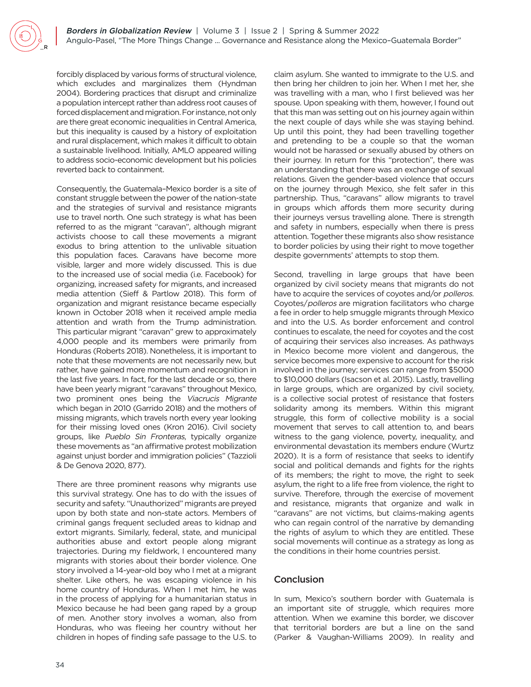forcibly displaced by various forms of structural violence, which excludes and marginalizes them (Hyndman 2004). Bordering practices that disrupt and criminalize a population intercept rather than address root causes of forced displacement and migration. For instance, not only are there great economic inequalities in Central America, but this inequality is caused by a history of exploitation and rural displacement, which makes it difficult to obtain a sustainable livelihood. Initially, AMLO appeared willing to address socio-economic development but his policies reverted back to containment.

Consequently, the Guatemala–Mexico border is a site of constant struggle between the power of the nation-state and the strategies of survival and resistance migrants use to travel north. One such strategy is what has been referred to as the migrant "caravan", although migrant activists choose to call these movements a migrant exodus to bring attention to the unlivable situation this population faces. Caravans have become more visible, larger and more widely discussed. This is due to the increased use of social media (i.e. Facebook) for organizing, increased safety for migrants, and increased media attention (Sieff & Partlow 2018). This form of organization and migrant resistance became especially known in October 2018 when it received ample media attention and wrath from the Trump administration. This particular migrant "caravan" grew to approximately 4,000 people and its members were primarily from Honduras (Roberts 2018). Nonetheless, it is important to note that these movements are not necessarily new, but rather, have gained more momentum and recognition in the last five years. In fact, for the last decade or so, there have been yearly migrant "caravans" throughout Mexico, two prominent ones being the Viacrucis Migrante which began in 2010 (Garrido 2018) and the mothers of missing migrants, which travels north every year looking for their missing loved ones (Kron 2016). Civil society groups, like Pueblo Sin Fronteras, typically organize these movements as "an affirmative protest mobilization against unjust border and immigration policies" (Tazzioli & De Genova 2020, 877).

There are three prominent reasons why migrants use this survival strategy. One has to do with the issues of security and safety. "Unauthorized" migrants are preyed upon by both state and non-state actors. Members of criminal gangs frequent secluded areas to kidnap and extort migrants. Similarly, federal, state, and municipal authorities abuse and extort people along migrant trajectories. During my fieldwork, I encountered many migrants with stories about their border violence. One story involved a 14-year-old boy who I met at a migrant shelter. Like others, he was escaping violence in his home country of Honduras. When I met him, he was in the process of applying for a humanitarian status in Mexico because he had been gang raped by a group of men. Another story involves a woman, also from Honduras, who was fleeing her country without her children in hopes of finding safe passage to the U.S. to

claim asylum. She wanted to immigrate to the U.S. and then bring her children to join her. When I met her, she was travelling with a man, who I first believed was her spouse. Upon speaking with them, however, I found out that this man was setting out on his journey again within the next couple of days while she was staying behind. Up until this point, they had been travelling together and pretending to be a couple so that the woman would not be harassed or sexually abused by others on their journey. In return for this "protection", there was an understanding that there was an exchange of sexual relations. Given the gender-based violence that occurs on the journey through Mexico, she felt safer in this partnership. Thus, "caravans" allow migrants to travel in groups which affords them more security during their journeys versus travelling alone. There is strength and safety in numbers, especially when there is press attention. Together these migrants also show resistance to border policies by using their right to move together despite governments' attempts to stop them.

Second, travelling in large groups that have been organized by civil society means that migrants do not have to acquire the services of coyotes and/or *polleros*. Coyotes/polleros are migration facilitators who charge a fee in order to help smuggle migrants through Mexico and into the U.S. As border enforcement and control continues to escalate, the need for coyotes and the cost of acquiring their services also increases. As pathways in Mexico become more violent and dangerous, the service becomes more expensive to account for the risk involved in the journey; services can range from \$5000 to \$10,000 dollars (Isacson et al. 2015). Lastly, travelling in large groups, which are organized by civil society, is a collective social protest of resistance that fosters solidarity among its members. Within this migrant struggle, this form of collective mobility is a social movement that serves to call attention to, and bears witness to the gang violence, poverty, inequality, and environmental devastation its members endure (Wurtz 2020). It is a form of resistance that seeks to identify social and political demands and fights for the rights of its members; the right to move, the right to seek asylum, the right to a life free from violence, the right to survive. Therefore, through the exercise of movement and resistance, migrants that organize and walk in "caravans" are not victims, but claims-making agents who can regain control of the narrative by demanding the rights of asylum to which they are entitled. These social movements will continue as a strategy as long as the conditions in their home countries persist.

## **Conclusion**

In sum, Mexico's southern border with Guatemala is an important site of struggle, which requires more attention. When we examine this border, we discover that territorial borders are but a line on the sand (Parker & Vaughan-Williams 2009). In reality and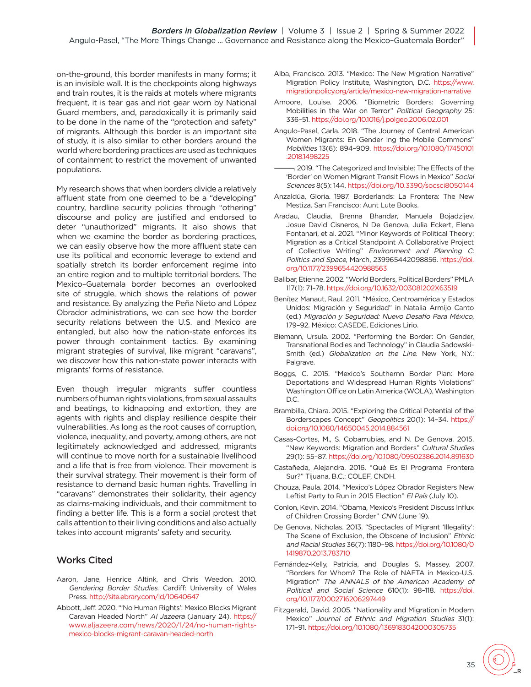on-the-ground, this border manifests in many forms; it is an invisible wall. It is the checkpoints along highways and train routes, it is the raids at motels where migrants frequent, it is tear gas and riot gear worn by National Guard members, and, paradoxically it is primarily said to be done in the name of the "protection and safety" of migrants. Although this border is an important site of study, it is also similar to other borders around the world where bordering practices are used as techniques of containment to restrict the movement of unwanted populations.

My research shows that when borders divide a relatively affluent state from one deemed to be a "developing" country, hardline security policies through "othering" discourse and policy are justified and endorsed to deter "unauthorized" migrants. It also shows that when we examine the border as bordering practices, we can easily observe how the more affluent state can use its political and economic leverage to extend and spatially stretch its border enforcement regime into an entire region and to multiple territorial borders. The Mexico–Guatemala border becomes an overlooked site of struggle, which shows the relations of power and resistance. By analyzing the Peña Nieto and López Obrador administrations, we can see how the border security relations between the U.S. and Mexico are entangled, but also how the nation-state enforces its power through containment tactics. By examining migrant strategies of survival, like migrant "caravans", we discover how this nation-state power interacts with migrants' forms of resistance.

Even though irregular migrants suffer countless numbers of human rights violations, from sexual assaults and beatings, to kidnapping and extortion, they are agents with rights and display resilience despite their vulnerabilities. As long as the root causes of corruption, violence, inequality, and poverty, among others, are not legitimately acknowledged and addressed, migrants will continue to move north for a sustainable livelihood and a life that is free from violence. Their movement is their survival strategy. Their movement is their form of resistance to demand basic human rights. Travelling in "caravans" demonstrates their solidarity, their agency as claims-making individuals, and their commitment to finding a better life. This is a form a social protest that calls attention to their living conditions and also actually takes into account migrants' safety and security.

## Works Cited

- Aaron, Jane, Henrice Altink, and Chris Weedon. 2010. Gendering Border Studies. Cardiff: University of Wales Press. <http://site.ebrary.com/id/10640647>
- Abbott, Jeff. 2020. "'No Human Rights': Mexico Blocks Migrant Caravan Headed North" Al Jazeera (January 24). [https://](https://www.aljazeera.com/news/2020/1/24/no-human-rights-mexico-blocks-migrant-caravan-headed-north) [www.aljazeera.com/news/2020/1/24/no-human-rights](https://www.aljazeera.com/news/2020/1/24/no-human-rights-mexico-blocks-migrant-caravan-headed-north)[mexico-blocks-migrant-caravan-headed-north](https://www.aljazeera.com/news/2020/1/24/no-human-rights-mexico-blocks-migrant-caravan-headed-north)
- Alba, Francisco. 2013. "Mexico: The New Migration Narrative" Migration Policy Institute, Washington, D.C. [https://www.](https://www.migrationpolicy.org/article/mexico-new-migration-narrative) [migrationpolicy.org/article/mexico-new-migration-narrative](https://www.migrationpolicy.org/article/mexico-new-migration-narrative)
- Amoore, Louise. 2006. "Biometric Borders: Governing Mobilities in the War on Terror" Political Geography 25: 336–51. <https://doi.org/10.1016/j.polgeo.2006.02.001>
- Angulo-Pasel, Carla. 2018. "The Journey of Central American Women Migrants: En Gender Ing the Mobile Commons" Mobilities 13(6): 894–909. [https://doi.org/10.1080/17450101](https://doi.org/10.1080/17450101.2018.1498225) [.2018.1498225](https://doi.org/10.1080/17450101.2018.1498225)
- -. 2019. "The Categorized and Invisible: The Effects of the 'Border' on Women Migrant Transit Flows in Mexico" Social Sciences 8(5): 144.<https://doi.org/10.3390/socsci8050144>
- Anzaldúa, Gloria. 1987. Borderlands: La Frontera: The New Mestiza. San Francisco: Aunt Lute Books.
- Aradau, Claudia, Brenna Bhandar, Manuela Bojadzijev, Josue David Cisneros, N De Genova, Julia Eckert, Elena Fontanari, et al. 2021. "Minor Keywords of Political Theory: Migration as a Critical Standpoint A Collaborative Project of Collective Writing" Environment and Planning C: Politics and Space, March, 239965442098856. [https://doi.](https://doi.org/10.1177/2399654420988563) [org/10.1177/2399654420988563](https://doi.org/10.1177/2399654420988563)
- Balibar, Etienne. 2002. "World Borders, Political Borders" PMLA 117(1): 71–78.<https://doi.org/10.1632/003081202X63519>
- Benítez Manaut, Raul. 2011. "México, Centroamérica y Estados Unidos: Migración y Seguridad" in Natalia Armijo Canto (ed.) Migración y Seguridad: Nuevo Desafío Para México, 179–92. México: CASEDE, Ediciones Lirio.
- Biemann, Ursula. 2002. "Performing the Border: On Gender, Transnational Bodies and Technology" in Claudia Sadowski-Smith (ed.) Globalization on the Line. New York, N.Y.: Palgrave.
- Boggs, C. 2015. "Mexico's Southernn Border Plan: More Deportations and Widespread Human Rights Violations" Washington Office on Latin America (WOLA), Washington D.C.
- Brambilla, Chiara. 2015. "Exploring the Critical Potential of the Borderscapes Concept" Geopolitics 20(1): 14–34. [https://](https://doi.org/10.1080/14650045.2014.884561) [doi.org/10.1080/14650045.2014.884561](https://doi.org/10.1080/14650045.2014.884561)
- Casas-Cortes, M., S. Cobarrubias, and N. De Genova. 2015. "New Keywords: Migration and Borders" Cultural Studies 29(1): 55–87. <https://doi.org/10.1080/09502386.2014.891630>
- Castañeda, Alejandra. 2016. "Qué Es El Programa Frontera Sur?" Tijuana, B.C.: COLEF, CNDH.
- Chouza, Paula. 2014. "Mexico's López Obrador Registers New Leftist Party to Run in 2015 Election" El País (July 10).
- Conlon, Kevin. 2014. "Obama, Mexico's President Discuss Influx of Children Crossing Border" CNN (June 19).
- De Genova, Nicholas. 2013. "Spectacles of Migrant 'Illegality': The Scene of Exclusion, the Obscene of Inclusion" Ethnic and Racial Studies 36(7): 1180–98. [https://doi.org/10.1080/0](https://doi.org/10.1080/01419870.2013.783710) [1419870.2013.783710](https://doi.org/10.1080/01419870.2013.783710)
- Fernández-Kelly, Patricia, and Douglas S. Massey. 2007. "Borders for Whom? The Role of NAFTA in Mexico-U.S. Migration" The ANNALS of the American Academy of Political and Social Science 610(1): 98–118. [https://doi.](https://doi.org/10.1177/0002716206297449) [org/10.1177/0002716206297449](https://doi.org/10.1177/0002716206297449)
- Fitzgerald, David. 2005. "Nationality and Migration in Modern Mexico" Journal of Ethnic and Migration Studies 31(1): 171–91. <https://doi.org/10.1080/1369183042000305735>

35  $\bigvee_{\mathsf{R}}$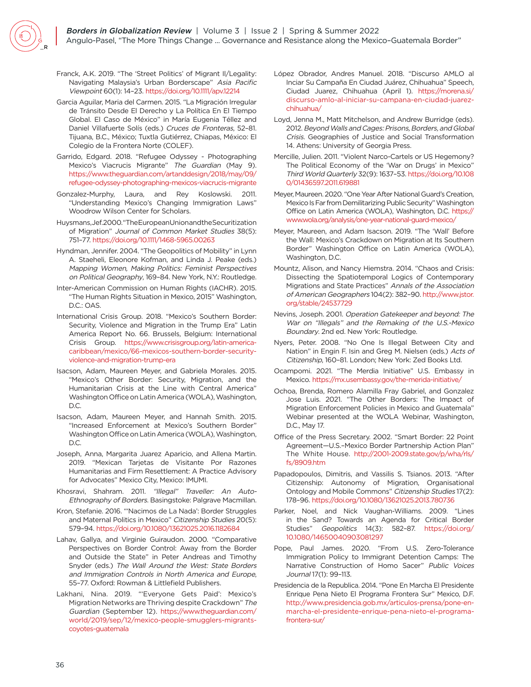- Franck, A.K. 2019. "The 'Street Politics' of Migrant Il/Legality: Navigating Malaysia's Urban Borderscape" Asia Pacific Viewpoint 60(1): 14–23.<https://doi.org/10.1111/apv.12214>
- Garcia Aguilar, Maria del Carmen. 2015. "La Migración Irregular de Tránsito Desde El Derecho y La Política En El Tiempo Global. El Caso de México" in María Eugenia Téllez and Daniel Villafuerte Solís (eds.) Cruces de Fronteras, 52–81. Tijuana, B.C., México; Tuxtla Gutiérrez, Chiapas, México: El Colegio de la Frontera Norte (COLEF).
- Garrido, Edgard. 2018. "Refugee Odyssey Photographing Mexico's Viacrucis Migrante" The Guardian (May 9). [https://www.theguardian.com/artanddesign/2018/may/09/](https://www.theguardian.com/artanddesign/2018/may/09/refugee-odyssey-photographing-mexicos-viacrucis-migrante) [refugee-odyssey-photographing-mexicos-viacrucis-migrante](https://www.theguardian.com/artanddesign/2018/may/09/refugee-odyssey-photographing-mexicos-viacrucis-migrante)
- Gonzalez-Murphy, Laura, and Rey Koslowski. 2011. "Understanding Mexico's Changing Immigration Laws" Woodrow Wilson Center for Scholars.
- Huysmans, Jef. 2000. "The European Union and the Securitization of Migration" Journal of Common Market Studies 38(5): 751–77. <https://doi.org/10.1111/1468-5965.00263>
- Hyndman, Jennifer. 2004. "The Geopolitics of Mobility" in Lynn A. Staeheli, Eleonore Kofman, and Linda J. Peake (eds.) Mapping Women, Making Politics: Feminist Perspectives on Political Geography, 169–84. New York, N.Y.: Routledge.
- Inter-American Commission on Human Rights (IACHR). 2015. "The Human Rights Situation in Mexico, 2015" Washington,  $DC: OAS$
- International Crisis Group. 2018. "Mexico's Southern Border: Security, Violence and Migration in the Trump Era" Latin America Report No. 66. Brussels, Belgium: International Crisis Group. [https://www.crisisgroup.org/latin-america](https://www.crisisgroup.org/latin-america-caribbean/mexico/66-mexicos-southern-border-security-violence-and-migration-trump-era)[caribbean/mexico/66-mexicos-southern-border-security](https://www.crisisgroup.org/latin-america-caribbean/mexico/66-mexicos-southern-border-security-violence-and-migration-trump-era)[violence-and-migration-trump-era](https://www.crisisgroup.org/latin-america-caribbean/mexico/66-mexicos-southern-border-security-violence-and-migration-trump-era)
- Isacson, Adam, Maureen Meyer, and Gabriela Morales. 2015. "Mexico's Other Border: Security, Migration, and the Humanitarian Crisis at the Line with Central America" Washington Office on Latin America (WOLA), Washington, D.C.
- Isacson, Adam, Maureen Meyer, and Hannah Smith. 2015. "Increased Enforcement at Mexico's Southern Border" Washington Office on Latin America (WOLA), Washington, D.C.
- Joseph, Anna, Margarita Juarez Aparicio, and Allena Martin. 2019. "Mexican Tarjetas de Visitante Por Razones Humanitarias and Firm Resettlement: A Practice Advisory for Advocates" Mexico City, Mexico: IMUMI.
- Khosravi, Shahram. 2011. "Illegal" Traveller: An Auto-Ethnography of Borders. Basingstoke: Palgrave Macmillan.
- Kron, Stefanie. 2016. "'Nacimos de La Nada': Border Struggles and Maternal Politics in Mexico" Citizenship Studies 20(5): 579–94.<https://doi.org/10.1080/13621025.2016.1182684>
- Lahav, Gallya, and Virginie Guiraudon. 2000. "Comparative Perspectives on Border Control: Away from the Border and Outside the State" in Peter Andreas and Timothy Snyder (eds.) The Wall Around the West: State Borders and Immigration Controls in North America and Europe, 55–77. Oxford: Rowman & Littlefield Publishers.
- Lakhani, Nina. 2019. "'Everyone Gets Paid': Mexico's Migration Networks are Thriving despite Crackdown" The Guardian (September 12). [https://www.theguardian.com/](https://www.theguardian.com/world/2019/sep/12/mexico-people-smugglers-migrants-coyotes-guatemala) [world/2019/sep/12/mexico-people-smugglers-migrants](https://www.theguardian.com/world/2019/sep/12/mexico-people-smugglers-migrants-coyotes-guatemala)[coyotes-guatemala](https://www.theguardian.com/world/2019/sep/12/mexico-people-smugglers-migrants-coyotes-guatemala)
- López Obrador, Andres Manuel. 2018. "Discurso AMLO al Inciar Su Campaña En Ciudad Juárez, Chihuahua" Speech, Ciudad Juarez, Chihuahua (April 1). [https://morena.si/](https://morena.si/discurso-amlo-al-iniciar-su-campana-en-ciudad-juarez-chihuahua/) [discurso-amlo-al-iniciar-su-campana-en-ciudad-juarez](https://morena.si/discurso-amlo-al-iniciar-su-campana-en-ciudad-juarez-chihuahua/)[chihuahua/](https://morena.si/discurso-amlo-al-iniciar-su-campana-en-ciudad-juarez-chihuahua/)
- Loyd, Jenna M., Matt Mitchelson, and Andrew Burridge (eds). 2012. Beyond Walls and Cages: Prisons, Borders, and Global Crisis. Geographies of Justice and Social Transformation 14. Athens: University of Georgia Press.
- Mercille, Julien. 2011. "Violent Narco-Cartels or US Hegemony? The Political Economy of the 'War on Drugs' in Mexico" Third World Quarterly 32(9): 1637–53. [https://doi.org/10.108](https://doi.org/10.1080/01436597.2011.619881) [0/01436597.2011.619881](https://doi.org/10.1080/01436597.2011.619881)
- Meyer, Maureen. 2020. "One Year After National Guard's Creation, Mexico Is Far from Demilitarizing Public Security" Washington Office on Latin America (WOLA), Washington, D.C. [https://](https://www.wola.org/analysis/one-year-national-guard-mexico/) [www.wola.org/analysis/one-year-national-guard-mexico/](https://www.wola.org/analysis/one-year-national-guard-mexico/)
- Meyer, Maureen, and Adam Isacson. 2019. "The 'Wall' Before the Wall: Mexico's Crackdown on Migration at Its Southern Border" Washington Office on Latin America (WOLA), Washington, D.C.
- Mountz, Alison, and Nancy Hiemstra. 2014. "Chaos and Crisis: Dissecting the Spatiotemporal Logics of Contemporary Migrations and State Practices" Annals of the Association of American Geographers 104(2): 382–90. [http://www.jstor.](http://www.jstor.org/stable/24537729) [org/stable/24537729](http://www.jstor.org/stable/24537729)
- Nevins, Joseph. 2001. Operation Gatekeeper and beyond: The War on "Illegals" and the Remaking of the U.S.-Mexico Boundary. 2nd ed. New York: Routledge.
- Nyers, Peter. 2008. "No One Is Illegal Between City and Nation" in Engin F. Isin and Greg M. Nielsen (eds.) Acts of Citizenship, 160–81. London; New York: Zed Books Ltd.
- Ocampomi. 2021. "The Merdia Initiative" U.S. Embassy in Mexico.<https://mx.usembassy.gov/the-merida-initiative/>
- Ochoa, Brenda, Romero Alamilla Fray Gabriel, and Gonzalez Jose Luis. 2021. "The Other Borders: The Impact of Migration Enforcement Policies in Mexico and Guatemala" Webinar presented at the WOLA Webinar, Washington, D.C., May 17.
- Office of the Press Secretary. 2002. "Smart Border: 22 Point Agreement—U.S.–Mexico Border Partnership Action Plan" The White House. [http://2001-2009.state.gov/p/wha/rls/](http://2001-2009.state.gov/p/wha/rls/fs/8909.htm) [fs/8909.htm](http://2001-2009.state.gov/p/wha/rls/fs/8909.htm)
- Papadopoulos, Dimitris, and Vassilis S. Tsianos. 2013. "After Citizenship: Autonomy of Migration, Organisational Ontology and Mobile Commons" Citizenship Studies 17(2): 178–96. <https://doi.org/10.1080/13621025.2013.780736>
- Parker, Noel, and Nick Vaughan-Williams. 2009. "Lines in the Sand? Towards an Agenda for Critical Border Studies" Geopolitics 14(3): 582–87. [https://doi.org/](https://doi.org/10.1080/14650040903081297) [10.1080/14650040903081297](https://doi.org/10.1080/14650040903081297)
- Pope, Paul James. 2020. "From U.S. Zero-Tolerance Immigration Policy to Immigrant Detention Camps: The Narrative Construction of Homo Sacer" Public Voices Journal 17(1): 99–113.
- Presidencia de la Republica. 2014. "Pone En Marcha El Presidente Enrique Pena Nieto El Programa Frontera Sur" Mexico, D.F. [http://www.presidencia.gob.mx/articulos-prensa/pone-en](http://www.presidencia.gob.mx/articulos-prensa/pone-en-marcha-el-presidente-enrique-pena-nieto-el-programa-frontera-sur/)[marcha-el-presidente-enrique-pena-nieto-el-programa](http://www.presidencia.gob.mx/articulos-prensa/pone-en-marcha-el-presidente-enrique-pena-nieto-el-programa-frontera-sur/)[frontera-sur/](http://www.presidencia.gob.mx/articulos-prensa/pone-en-marcha-el-presidente-enrique-pena-nieto-el-programa-frontera-sur/)